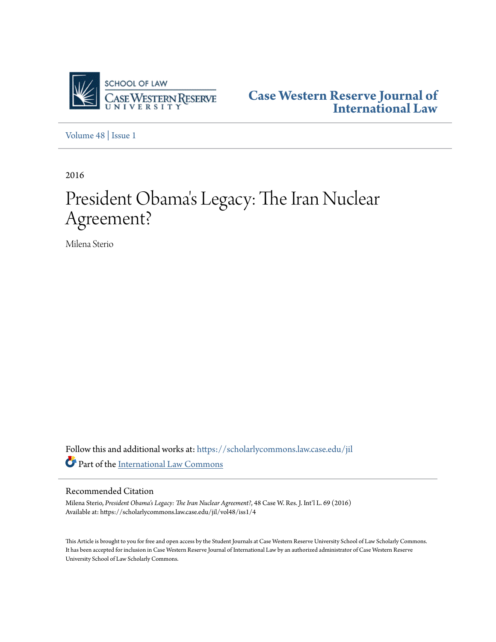

**[Case Western Reserve Journal of](https://scholarlycommons.law.case.edu/jil?utm_source=scholarlycommons.law.case.edu%2Fjil%2Fvol48%2Fiss1%2F4&utm_medium=PDF&utm_campaign=PDFCoverPages) [International Law](https://scholarlycommons.law.case.edu/jil?utm_source=scholarlycommons.law.case.edu%2Fjil%2Fvol48%2Fiss1%2F4&utm_medium=PDF&utm_campaign=PDFCoverPages)**

[Volume 48](https://scholarlycommons.law.case.edu/jil/vol48?utm_source=scholarlycommons.law.case.edu%2Fjil%2Fvol48%2Fiss1%2F4&utm_medium=PDF&utm_campaign=PDFCoverPages) | [Issue 1](https://scholarlycommons.law.case.edu/jil/vol48/iss1?utm_source=scholarlycommons.law.case.edu%2Fjil%2Fvol48%2Fiss1%2F4&utm_medium=PDF&utm_campaign=PDFCoverPages)

2016

# President Obama 's Legacy: The Iran Nuclear Agreement?

Milena Sterio

Follow this and additional works at: [https://scholarlycommons.law.case.edu/jil](https://scholarlycommons.law.case.edu/jil?utm_source=scholarlycommons.law.case.edu%2Fjil%2Fvol48%2Fiss1%2F4&utm_medium=PDF&utm_campaign=PDFCoverPages) Part of the [International Law Commons](http://network.bepress.com/hgg/discipline/609?utm_source=scholarlycommons.law.case.edu%2Fjil%2Fvol48%2Fiss1%2F4&utm_medium=PDF&utm_campaign=PDFCoverPages)

# Recommended Citation

Milena Sterio, *President Obama's Legacy: The Iran Nuclear Agreement?*, 48 Case W. Res. J. Int'l L. 69 (2016) Available at: https://scholarlycommons.law.case.edu/jil/vol48/iss1/4

This Article is brought to you for free and open access by the Student Journals at Case Western Reserve University School of Law Scholarly Commons. It has been accepted for inclusion in Case Western Reserve Journal of International Law by an authorized administrator of Case Western Reserve University School of Law Scholarly Commons.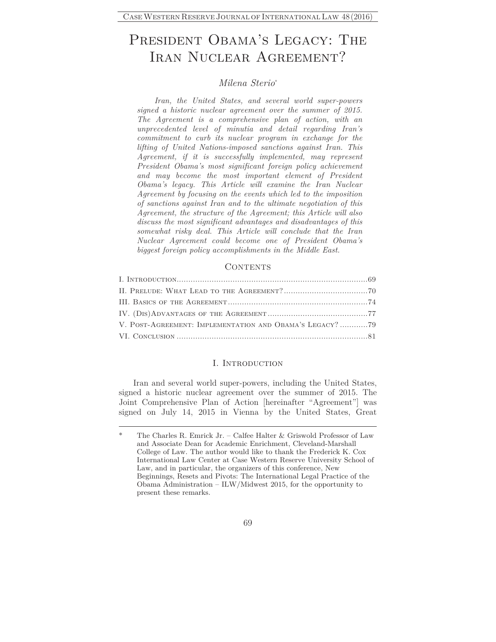# PRESIDENT OBAMA'S LEGACY: THE IRAN NUCLEAR AGREEMENT?

### *Milena Sterio*\*

*Iran, the United States, and several world super-powers signed a historic nuclear agreement over the summer of 2015. The Agreement is a comprehensive plan of action, with an unprecedented level of minutia and detail regarding Iran's commitment to curb its nuclear program in exchange for the lifting of United Nations-imposed sanctions against Iran. This Agreement, if it is successfully implemented, may represent President Obama's most significant foreign policy achievement and may become the most important element of President Obama's legacy. This Article will examine the Iran Nuclear Agreement by focusing on the events which led to the imposition of sanctions against Iran and to the ultimate negotiation of this Agreement, the structure of the Agreement; this Article will also discuss the most significant advantages and disadvantages of this somewhat risky deal. This Article will conclude that the Iran Nuclear Agreement could become one of President Obama's biggest foreign policy accomplishments in the Middle East.* 

#### **CONTENTS**

| V. POST-AGREEMENT: IMPLEMENTATION AND OBAMA'S LEGACY? 79 |  |
|----------------------------------------------------------|--|
|                                                          |  |

#### I. INTRODUCTION

Iran and several world super-powers, including the United States, signed a historic nuclear agreement over the summer of 2015. The Joint Comprehensive Plan of Action [hereinafter "Agreement"] was signed on July 14, 2015 in Vienna by the United States, Great

The Charles R. Emrick Jr. – Calfee Halter & Griswold Professor of Law and Associate Dean for Academic Enrichment, Cleveland-Marshall College of Law. The author would like to thank the Frederick K. Cox International Law Center at Case Western Reserve University School of Law, and in particular, the organizers of this conference, New Beginnings, Resets and Pivots: The International Legal Practice of the Obama Administration – ILW/Midwest 2015, for the opportunity to present these remarks.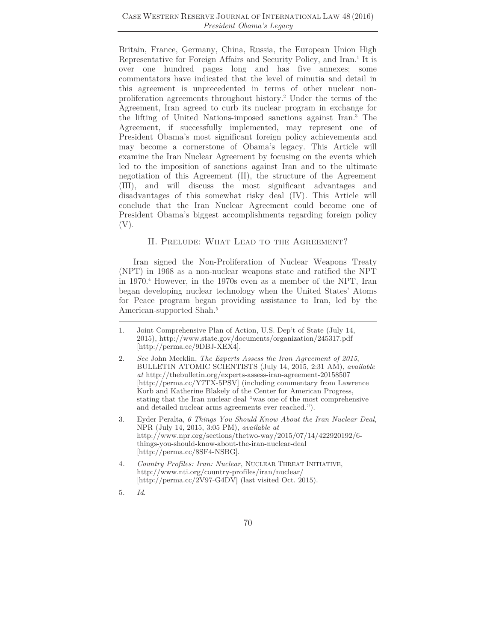Britain, France, Germany, China, Russia, the European Union High Representative for Foreign Affairs and Security Policy, and Iran.<sup>1</sup> It is over one hundred pages long and has five annexes; some commentators have indicated that the level of minutia and detail in this agreement is unprecedented in terms of other nuclear nonproliferation agreements throughout history.2 Under the terms of the Agreement, Iran agreed to curb its nuclear program in exchange for the lifting of United Nations-imposed sanctions against Iran.3 The Agreement, if successfully implemented, may represent one of President Obama's most significant foreign policy achievements and may become a cornerstone of Obama's legacy. This Article will examine the Iran Nuclear Agreement by focusing on the events which led to the imposition of sanctions against Iran and to the ultimate negotiation of this Agreement (II), the structure of the Agreement (III), and will discuss the most significant advantages and disadvantages of this somewhat risky deal (IV). This Article will conclude that the Iran Nuclear Agreement could become one of President Obama's biggest accomplishments regarding foreign policy (V).

#### II. Prelude: What Lead to the Agreement?

Iran signed the Non-Proliferation of Nuclear Weapons Treaty (NPT) in 1968 as a non-nuclear weapons state and ratified the NPT in 1970.4 However, in the 1970s even as a member of the NPT, Iran began developing nuclear technology when the United States' Atoms for Peace program began providing assistance to Iran, led by the American-supported Shah.<sup>5</sup>

- 1. Joint Comprehensive Plan of Action, U.S. Dep't of State (July 14, 2015), http://www.state.gov/documents/organization/245317.pdf [http://perma.cc/9DBJ-XEX4].
- 2. *See* John Mecklin, *The Experts Assess the Iran Agreement of 2015*, BULLETIN ATOMIC SCIENTISTS (July 14, 2015, 2:31 AM), *available at* http://thebulletin.org/experts-assess-iran-agreement-20158507 [http://perma.cc/Y7TX-5PSV] (including commentary from Lawrence Korb and Katherine Blakely of the Center for American Progress, stating that the Iran nuclear deal "was one of the most comprehensive and detailed nuclear arms agreements ever reached.").
- 3. Eyder Peralta, *6 Things You Should Know About the Iran Nuclear Deal*, NPR (July 14, 2015, 3:05 PM), *available at* http://www.npr.org/sections/thetwo-way/2015/07/14/422920192/6 things-you-should-know-about-the-iran-nuclear-deal [http://perma.cc/8SF4-NSBG].
- 4*. Country Profiles: Iran: Nuclear*, NUCLEAR THREAT INITIATIVE, http://www.nti.org/country-profiles/iran/nuclear/ [http://perma.cc/2V97-G4DV] (last visited Oct. 2015).
- 5*. Id*.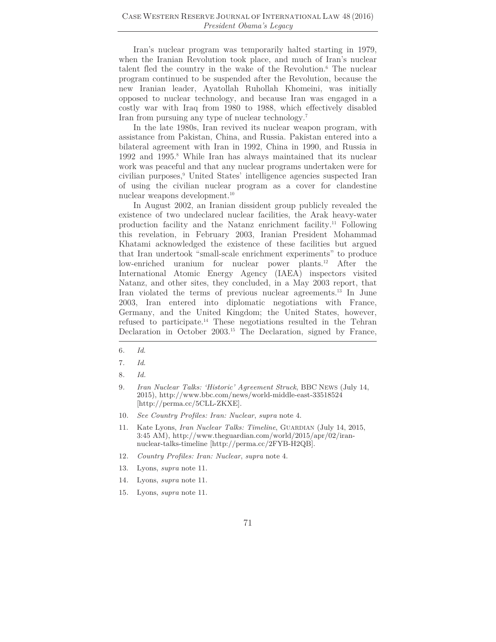Iran's nuclear program was temporarily halted starting in 1979, when the Iranian Revolution took place, and much of Iran's nuclear talent fled the country in the wake of the Revolution.6 The nuclear program continued to be suspended after the Revolution, because the new Iranian leader, Ayatollah Ruhollah Khomeini, was initially opposed to nuclear technology, and because Iran was engaged in a costly war with Iraq from 1980 to 1988, which effectively disabled Iran from pursuing any type of nuclear technology.7

In the late 1980s, Iran revived its nuclear weapon program, with assistance from Pakistan, China, and Russia. Pakistan entered into a bilateral agreement with Iran in 1992, China in 1990, and Russia in 1992 and 1995.8 While Iran has always maintained that its nuclear work was peaceful and that any nuclear programs undertaken were for civilian purposes,<sup>9</sup> United States' intelligence agencies suspected Iran of using the civilian nuclear program as a cover for clandestine nuclear weapons development.10

In August 2002, an Iranian dissident group publicly revealed the existence of two undeclared nuclear facilities, the Arak heavy-water production facility and the Natanz enrichment facility.11 Following this revelation, in February 2003, Iranian President Mohammad Khatami acknowledged the existence of these facilities but argued that Iran undertook "small-scale enrichment experiments" to produce low-enriched uranium for nuclear power plants.12 After the International Atomic Energy Agency (IAEA) inspectors visited Natanz, and other sites, they concluded, in a May 2003 report, that Iran violated the terms of previous nuclear agreements.13 In June 2003, Iran entered into diplomatic negotiations with France, Germany, and the United Kingdom; the United States, however, refused to participate.14 These negotiations resulted in the Tehran Declaration in October 2003.<sup>15</sup> The Declaration, signed by France,

10*. See Country Profiles: Iran: Nuclear*, *supra* note 4.

- 12*. Country Profiles: Iran: Nuclear*, *supra* note 4.
- 13. Lyons, *supra* note 11.
- 14*.* Lyons, *supra* note 11.
- 15*.* Lyons, *supra* note 11.

<sup>6</sup>*. Id*.

<sup>7</sup>*. Id*.

<sup>8</sup>*. Id.*

<sup>9</sup>*. Iran Nuclear Talks: 'Historic' Agreement Struck*, BBC NEWS (July 14, 2015), http://www.bbc.com/news/world-middle-east-33518524 [http://perma.cc/5CLL-ZKXE].

<sup>11.</sup> Kate Lyons, *Iran Nuclear Talks: Timeline*, GUARDIAN (July 14, 2015, 3:45 AM), http://www.theguardian.com/world/2015/apr/02/irannuclear-talks-timeline [http://perma.cc/2FYB-H2QB].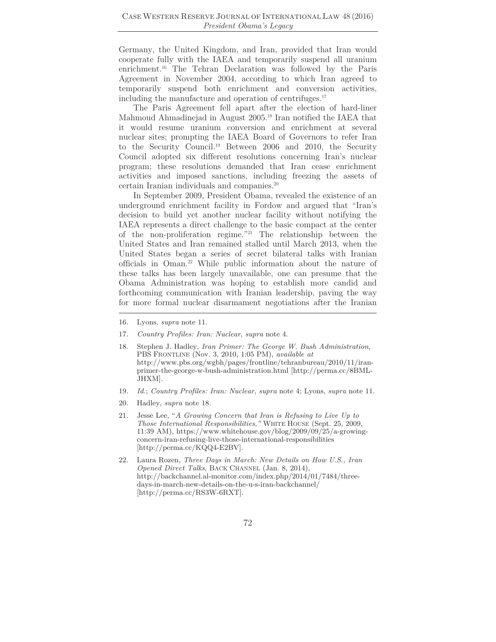Germany, the United Kingdom, and Iran, provided that Iran would cooperate fully with the IAEA and temporarily suspend all uranium enrichment.<sup>16</sup> The Tehran Declaration was followed by the Paris Agreement in November 2004, according to which Iran agreed to temporarily suspend both enrichment and conversion activities, including the manufacture and operation of centrifuges.17

The Paris Agreement fell apart after the election of hard-liner Mahmoud Ahmadinejad in August 2005.18 Iran notified the IAEA that it would resume uranium conversion and enrichment at several nuclear sites; prompting the IAEA Board of Governors to refer Iran to the Security Council.19 Between 2006 and 2010, the Security Council adopted six different resolutions concerning Iran's nuclear program; these resolutions demanded that Iran cease enrichment activities and imposed sanctions, including freezing the assets of certain Iranian individuals and companies.20

In September 2009, President Obama, revealed the existence of an underground enrichment facility in Fordow and argued that "Iran's decision to build yet another nuclear facility without notifying the IAEA represents a direct challenge to the basic compact at the center of the non-proliferation regime."21 The relationship between the United States and Iran remained stalled until March 2013, when the United States began a series of secret bilateral talks with Iranian officials in Oman.22 While public information about the nature of these talks has been largely unavailable, one can presume that the Obama Administration was hoping to establish more candid and forthcoming communication with Iranian leadership, paving the way for more formal nuclear disarmament negotiations after the Iranian

- 17*. Country Profiles: Iran: Nuclear*, *supra* note 4.
- 18. Stephen J. Hadley, *Iran Primer: The George W. Bush Administration*, PBS FRONTLINE (Nov. 3, 2010, 1:05 PM), *available at* http://www.pbs.org/wgbh/pages/frontline/tehranbureau/2010/11/iranprimer-the-george-w-bush-administration.html [http://perma.cc/8BML-JHXM].
- 19*. Id.*; *Country Profiles: Iran: Nuclear*, *supra* note 4; Lyons, *supra* note 11.
- 20. Hadley, *supra* note 18.
- 21. Jesse Lee, "*A Growing Concern that Iran is Refusing to Live Up to Those International Responsibilities*,*"* WHITE HOUSE (Sept. 25, 2009, 11:39 AM), https://www.whitehouse.gov/blog/2009/09/25/a-growingconcern-iran-refusing-live-those-international-responsibilities [http://perma.cc/KQQ4-E2BV].
- 22. Laura Rozen, *Three Days in March: New Details on How U.S., Iran Opened Direct Talks*, BACK CHANNEL (Jan. 8, 2014), http://backchannel.al-monitor.com/index.php/2014/01/7484/threedays-in-march-new-details-on-the-u-s-iran-backchannel/ [http://perma.cc/RS3W-6RXT].

<sup>16</sup>*.* Lyons, *supra* note 11.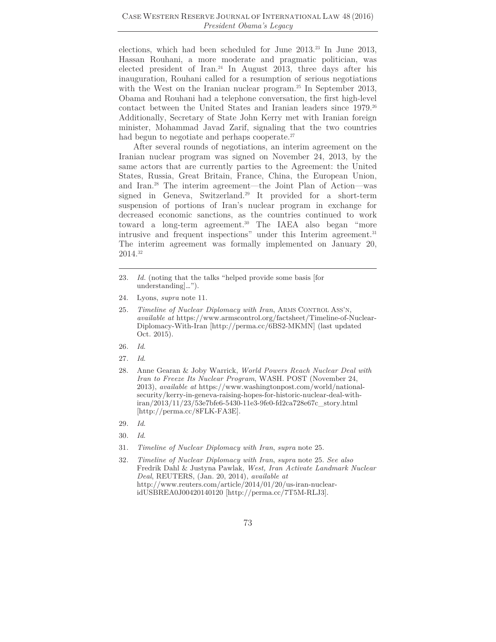elections, which had been scheduled for June 2013.<sup>23</sup> In June 2013, Hassan Rouhani, a more moderate and pragmatic politician, was elected president of Iran.<sup>24</sup> In August 2013, three days after his inauguration, Rouhani called for a resumption of serious negotiations with the West on the Iranian nuclear program.<sup>25</sup> In September 2013, Obama and Rouhani had a telephone conversation, the first high-level contact between the United States and Iranian leaders since 1979.<sup>26</sup> Additionally, Secretary of State John Kerry met with Iranian foreign minister, Mohammad Javad Zarif, signaling that the two countries had begun to negotiate and perhaps cooperate.<sup>27</sup>

After several rounds of negotiations, an interim agreement on the Iranian nuclear program was signed on November 24, 2013, by the same actors that are currently parties to the Agreement: the United States, Russia, Great Britain, France, China, the European Union, and Iran.28 The interim agreement—the Joint Plan of Action—was signed in Geneva, Switzerland.<sup>29</sup> It provided for a short-term suspension of portions of Iran's nuclear program in exchange for decreased economic sanctions, as the countries continued to work toward a long-term agreement.30 The IAEA also began "more intrusive and frequent inspections" under this Interim agreement.<sup>31</sup> The interim agreement was formally implemented on January 20, 2014.32

- 26*. Id*.
- 27*. Id*.

- 29*. Id*.
- 30*. Id*.
- 31*. Timeline of Nuclear Diplomacy with Iran*, *supra* note 25.
- 32*. Timeline of Nuclear Diplomacy with Iran*, *supra* note 25. *See also* Fredrik Dahl & Justyna Pawlak, *West, Iran Activate Landmark Nuclear Deal*, REUTERS, (Jan. 20, 2014), *available at* http://www.reuters.com/article/2014/01/20/us-iran-nuclearidUSBREA0J00420140120 [http://perma.cc/7T5M-RLJ3].

<sup>23</sup>*. Id.* (noting that the talks "helped provide some basis [for understanding]…").

<sup>24.</sup> Lyons, *supra* note 11.

<sup>25</sup>*. Timeline of Nuclear Diplomacy with Iran*, ARMS CONTROL ASS'N, *available at* https://www.armscontrol.org/factsheet/Timeline-of-Nuclear-Diplomacy-With-Iran [http://perma.cc/6BS2-MKMN] (last updated Oct. 2015).

<sup>28.</sup> Anne Gearan & Joby Warrick, *World Powers Reach Nuclear Deal with Iran to Freeze Its Nuclear Program*, WASH. POST (November 24, 2013), *available at* https://www.washingtonpost.com/world/nationalsecurity/kerry-in-geneva-raising-hopes-for-historic-nuclear-deal-withiran/2013/11/23/53e7bfe6-5430-11e3-9fe0-fd2ca728e67c\_story.html [http://perma.cc/8FLK-FA3E].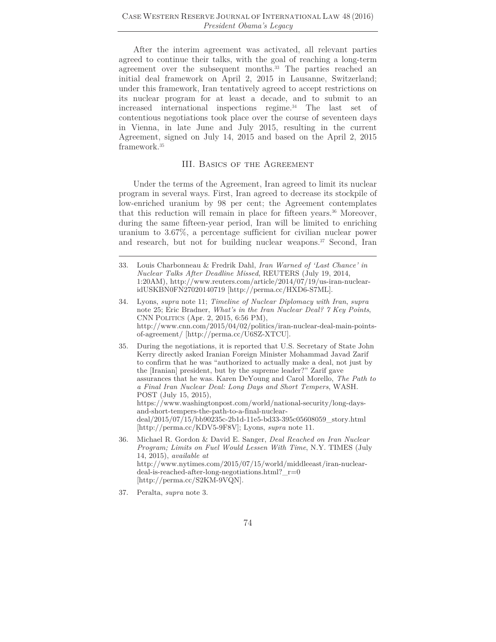After the interim agreement was activated, all relevant parties agreed to continue their talks, with the goal of reaching a long-term agreement over the subsequent months.<sup>33</sup> The parties reached an initial deal framework on April 2, 2015 in Lausanne, Switzerland; under this framework, Iran tentatively agreed to accept restrictions on its nuclear program for at least a decade, and to submit to an increased international inspections regime.34 The last set of contentious negotiations took place over the course of seventeen days in Vienna, in late June and July 2015, resulting in the current Agreement, signed on July 14, 2015 and based on the April 2, 2015 framework.35

#### III. Basics of the Agreement

Under the terms of the Agreement, Iran agreed to limit its nuclear program in several ways. First, Iran agreed to decrease its stockpile of low-enriched uranium by 98 per cent; the Agreement contemplates that this reduction will remain in place for fifteen years. $36$  Moreover, during the same fifteen-year period, Iran will be limited to enriching uranium to 3.67%, a percentage sufficient for civilian nuclear power and research, but not for building nuclear weapons.<sup>37</sup> Second, Iran

- 34. Lyons, *supra* note 11; *Timeline of Nuclear Diplomacy with Iran*, *supra* note 25; Eric Bradner, *What's in the Iran Nuclear Deal? 7 Key Points*, CNN POLITICS (Apr. 2, 2015, 6:56 PM), http://www.cnn.com/2015/04/02/politics/iran-nuclear-deal-main-pointsof-agreement/ [http://perma.cc/U6SZ-XTCU].
- 35. During the negotiations, it is reported that U.S. Secretary of State John Kerry directly asked Iranian Foreign Minister Mohammad Javad Zarif to confirm that he was "authorized to actually make a deal, not just by the [Iranian] president, but by the supreme leader?" Zarif gave assurances that he was. Karen DeYoung and Carol Morello, *The Path to a Final Iran Nuclear Deal: Long Days and Short Tempers*, WASH. POST (July 15, 2015), https://www.washingtonpost.com/world/national-security/long-daysand-short-tempers-the-path-to-a-final-nucleardeal/2015/07/15/bb90235c-2b1d-11e5-bd33-395c05608059\_story.html [http://perma.cc/KDV5-9F8V]; Lyons, *supra* note 11.
- 36. Michael R. Gordon & David E. Sanger, *Deal Reached on Iran Nuclear Program; Limits on Fuel Would Lessen With Time*, N.Y. TIMES (July 14, 2015), *available at* http://www.nytimes.com/2015/07/15/world/middleeast/iran-nucleardeal-is-reached-after-long-negotiations.html?\_r=0 [http://perma.cc/S2KM-9VQN].
- 37. Peralta, *supra* note 3.

<sup>33.</sup> Louis Charbonneau & Fredrik Dahl, *Iran Warned of 'Last Chance' in Nuclear Talks After Deadline Missed*, REUTERS (July 19, 2014, 1:20AM), http://www.reuters.com/article/2014/07/19/us-iran-nuclearidUSKBN0FN27020140719 [http://perma.cc/HXD6-S7ML].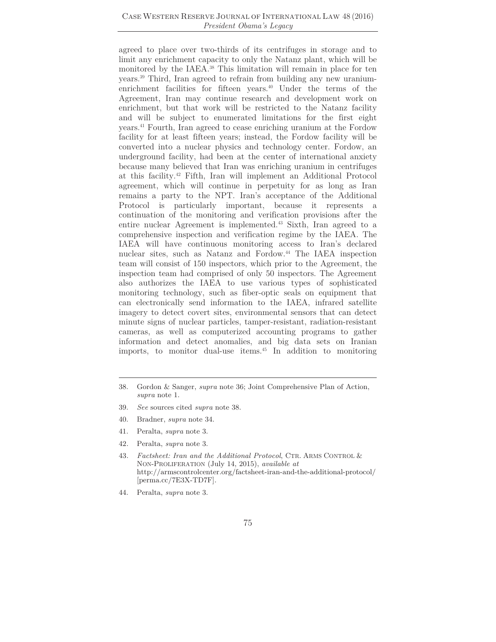#### Case Western Reserve Journal of International Law 48 (2016) *President Obama's Legacy*

agreed to place over two-thirds of its centrifuges in storage and to limit any enrichment capacity to only the Natanz plant, which will be monitored by the IAEA.38 This limitation will remain in place for ten years.39 Third, Iran agreed to refrain from building any new uraniumenrichment facilities for fifteen years.<sup>40</sup> Under the terms of the Agreement, Iran may continue research and development work on enrichment, but that work will be restricted to the Natanz facility and will be subject to enumerated limitations for the first eight years.41 Fourth, Iran agreed to cease enriching uranium at the Fordow facility for at least fifteen years; instead, the Fordow facility will be converted into a nuclear physics and technology center. Fordow, an underground facility, had been at the center of international anxiety because many believed that Iran was enriching uranium in centrifuges at this facility.42 Fifth, Iran will implement an Additional Protocol agreement, which will continue in perpetuity for as long as Iran remains a party to the NPT. Iran's acceptance of the Additional Protocol is particularly important, because it represents a continuation of the monitoring and verification provisions after the entire nuclear Agreement is implemented.<sup>43</sup> Sixth, Iran agreed to a comprehensive inspection and verification regime by the IAEA. The IAEA will have continuous monitoring access to Iran's declared nuclear sites, such as Natanz and Fordow.<sup>44</sup> The IAEA inspection team will consist of 150 inspectors, which prior to the Agreement, the inspection team had comprised of only 50 inspectors. The Agreement also authorizes the IAEA to use various types of sophisticated monitoring technology, such as fiber-optic seals on equipment that can electronically send information to the IAEA, infrared satellite imagery to detect covert sites, environmental sensors that can detect minute signs of nuclear particles, tamper-resistant, radiation-resistant cameras, as well as computerized accounting programs to gather information and detect anomalies, and big data sets on Iranian imports, to monitor dual-use items.45 In addition to monitoring

- 39. *See* sources cited *supra* note 38.
- 40. Bradner, *supra* note 34.
- 41. Peralta, *supra* note 3.
- 42*.* Peralta, *supra* note 3.
- 43*. Factsheet: Iran and the Additional Protocol*, CTR. ARMS CONTROL & NON-PROLIFERATION (July 14, 2015), *available at* http://armscontrolcenter.org/factsheet-iran-and-the-additional-protocol/ [perma.cc/7E3X-TD7F].
- 44. Peralta, *supra* note 3.

<sup>38.</sup> Gordon & Sanger, *supra* note 36; Joint Comprehensive Plan of Action, *supra* note 1.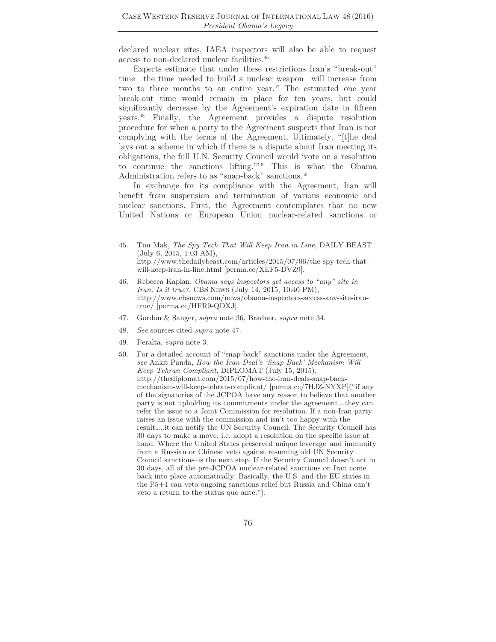declared nuclear sites, IAEA inspectors will also be able to request access to non-declared nuclear facilities.46

Experts estimate that under these restrictions Iran's "break-out" time—the time needed to build a nuclear weapon –will increase from two to three months to an entire year.<sup>47</sup> The estimated one year break-out time would remain in place for ten years, but could significantly decrease by the Agreement's expiration date in fifteen years.48 Finally, the Agreement provides a dispute resolution procedure for when a party to the Agreement suspects that Iran is not complying with the terms of the Agreement. Ultimately, "[t]he deal lays out a scheme in which if there is a dispute about Iran meeting its obligations, the full U.N. Security Council would 'vote on a resolution to continue the sanctions lifting.'"49 This is what the Obama Administration refers to as "snap-back" sanctions.<sup>50</sup>

In exchange for its compliance with the Agreement, Iran will benefit from suspension and termination of various economic and nuclear sanctions. First, the Agreement contemplates that no new United Nations or European Union nuclear-related sanctions or

- 46. Rebecca Kaplan, *Obama says inspectors get access to "any" site in Iran. Is it true?*, CBS NEWS (July 14, 2015, 10:40 PM), http://www.cbsnews.com/news/obama-inspectors-access-any-site-irantrue/ [perma.cc/HFR9-QDXJ].
- 47. Gordon & Sanger, *supra* note 36, Bradner, *supra* note 34.
- 48*. See* sources cited *supra* note 47.
- 49. Peralta, *supra* note 3.
- 50. For a detailed account of "snap-back" sanctions under the Agreement, *see* Ankit Panda, *How the Iran Deal's 'Snap Back' Mechanism Will Keep Tehran Compliant*, DIPLOMAT (July 15, 2015), http://thediplomat.com/2015/07/how-the-iran-deals-snap-backmechanism-will-keep-tehran-compliant/ [perma.cc/7HJZ-NYXP]("if any of the signatories of the JCPOA have any reason to believe that another party is not upholding its commitments under the agreement….they can refer the issue to a Joint Commission for resolution. If a non-Iran party raises an issue with the commission and isn't too happy with the result…..it can notify the UN Security Council. The Security Council has 30 days to make a move, i.e. adopt a resolution on the specific issue at hand. Where the United States preserved unique leverage–and immunity from a Russian or Chinese veto against resuming old UN Security Council sanctions–is the next step. If the Security Council doesn't act in 30 days, all of the pre-JCPOA nuclear-related sanctions on Iran come back into place automatically. Basically, the U.S. and the EU states in the P5+1 can veto ongoing sanctions relief but Russia and China can't veto a return to the status quo ante.").

<sup>45.</sup> Tim Mak, *The Spy Tech That Will Keep Iran in Line*, DAILY BEAST (July 6, 2015, 1:03 AM), http://www.thedailybeast.com/articles/2015/07/06/the-spy-tech-thatwill-keep-iran-in-line.html [perma.cc/XEF5-DVZ9].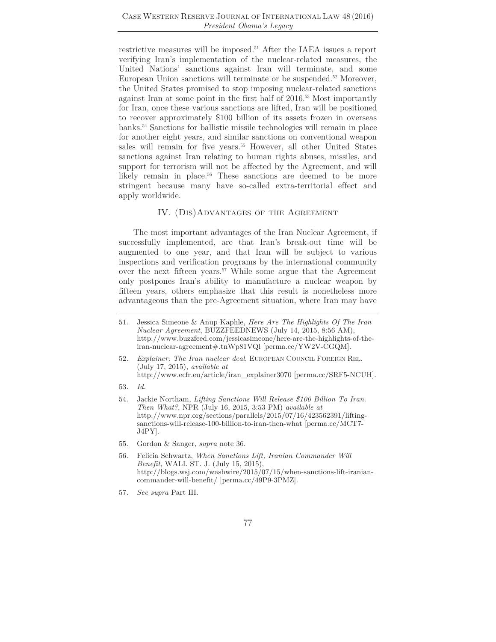restrictive measures will be imposed.51 After the IAEA issues a report verifying Iran's implementation of the nuclear-related measures, the United Nations' sanctions against Iran will terminate, and some European Union sanctions will terminate or be suspended.<sup>52</sup> Moreover, the United States promised to stop imposing nuclear-related sanctions against Iran at some point in the first half of 2016.53 Most importantly for Iran, once these various sanctions are lifted, Iran will be positioned to recover approximately \$100 billion of its assets frozen in overseas banks.54 Sanctions for ballistic missile technologies will remain in place for another eight years, and similar sanctions on conventional weapon sales will remain for five years.<sup>55</sup> However, all other United States sanctions against Iran relating to human rights abuses, missiles, and support for terrorism will not be affected by the Agreement, and will likely remain in place.<sup>56</sup> These sanctions are deemed to be more stringent because many have so-called extra-territorial effect and apply worldwide.

#### IV. (Dis)Advantages of the Agreement

The most important advantages of the Iran Nuclear Agreement, if successfully implemented, are that Iran's break-out time will be augmented to one year, and that Iran will be subject to various inspections and verification programs by the international community over the next fifteen years.<sup>57</sup> While some argue that the Agreement only postpones Iran's ability to manufacture a nuclear weapon by fifteen years, others emphasize that this result is nonetheless more advantageous than the pre-Agreement situation, where Iran may have

- 51. Jessica Simeone & Anup Kaphle, *Here Are The Highlights Of The Iran Nuclear Agreement*, BUZZFEEDNEWS (July 14, 2015, 8:56 AM), http://www.buzzfeed.com/jessicasimeone/here-are-the-highlights-of-theiran-nuclear-agreement#.tnWp81VQl [perma.cc/YW2V-CGQM].
- 52*. Explainer: The Iran nuclear deal*, EUROPEAN COUNCIL FOREIGN REL. (July 17, 2015), *available at* http://www.ecfr.eu/article/iran\_explainer3070 [perma.cc/SRF5-NCUH].
- 53*. Id.*
- 54. Jackie Northam, *Lifting Sanctions Will Release \$100 Billion To Iran. Then What?*, NPR (July 16, 2015, 3:53 PM) *available at* http://www.npr.org/sections/parallels/2015/07/16/423562391/liftingsanctions-will-release-100-billion-to-iran-then-what [perma.cc/MCT7- J4PY].
- 55. Gordon & Sanger, *supra* note 36.
- 56. Felicia Schwartz, *When Sanctions Lift, Iranian Commander Will Benefit*, WALL ST. J. (July 15, 2015), http://blogs.wsj.com/washwire/2015/07/15/when-sanctions-lift-iraniancommander-will-benefit/ [perma.cc/49P9-3PMZ].
- 57*. See supra* Part III.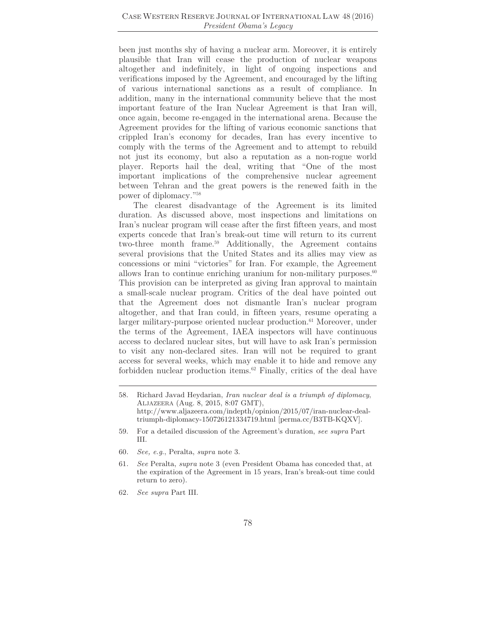been just months shy of having a nuclear arm. Moreover, it is entirely plausible that Iran will cease the production of nuclear weapons altogether and indefinitely, in light of ongoing inspections and verifications imposed by the Agreement, and encouraged by the lifting of various international sanctions as a result of compliance. In addition, many in the international community believe that the most important feature of the Iran Nuclear Agreement is that Iran will, once again, become re-engaged in the international arena. Because the Agreement provides for the lifting of various economic sanctions that crippled Iran's economy for decades, Iran has every incentive to comply with the terms of the Agreement and to attempt to rebuild not just its economy, but also a reputation as a non-rogue world player. Reports hail the deal, writing that "One of the most important implications of the comprehensive nuclear agreement between Tehran and the great powers is the renewed faith in the power of diplomacy."58

The clearest disadvantage of the Agreement is its limited duration. As discussed above, most inspections and limitations on Iran's nuclear program will cease after the first fifteen years, and most experts concede that Iran's break-out time will return to its current two-three month frame.<sup>59</sup> Additionally, the Agreement contains several provisions that the United States and its allies may view as concessions or mini "victories" for Iran. For example, the Agreement allows Iran to continue enriching uranium for non-military purposes. $60$ This provision can be interpreted as giving Iran approval to maintain a small-scale nuclear program. Critics of the deal have pointed out that the Agreement does not dismantle Iran's nuclear program altogether, and that Iran could, in fifteen years, resume operating a larger military-purpose oriented nuclear production.<sup>61</sup> Moreover, under the terms of the Agreement, IAEA inspectors will have continuous access to declared nuclear sites, but will have to ask Iran's permission to visit any non-declared sites. Iran will not be required to grant access for several weeks, which may enable it to hide and remove any forbidden nuclear production items.62 Finally, critics of the deal have

62*. See supra* Part III.

<sup>58.</sup> Richard Javad Heydarian, *Iran nuclear deal is a triumph of diplomacy*, ALJAZEERA (Aug. 8, 2015, 8:07 GMT), http://www.aljazeera.com/indepth/opinion/2015/07/iran-nuclear-dealtriumph-diplomacy-150726121334719.html [perma.cc/B3TB-KQXV].

<sup>59.</sup> For a detailed discussion of the Agreement's duration, *see supra* Part III.

<sup>60</sup>*. See, e.g*., Peralta, *supra* note 3.

<sup>61</sup>*. See* Peralta, *supra* note 3 (even President Obama has conceded that, at the expiration of the Agreement in 15 years, Iran's break-out time could return to zero).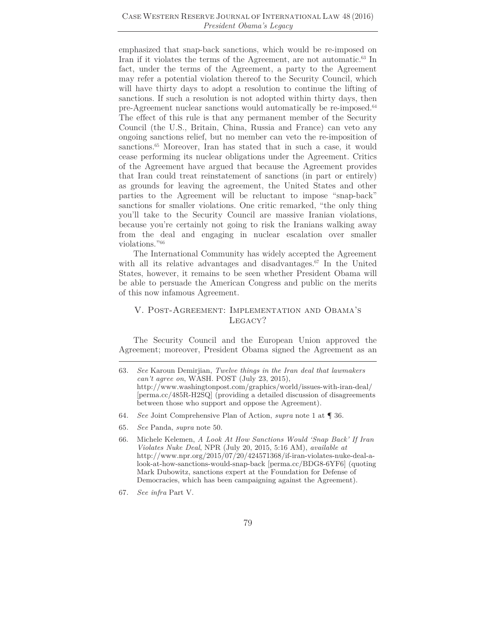emphasized that snap-back sanctions, which would be re-imposed on Iran if it violates the terms of the Agreement, are not automatic.63 In fact, under the terms of the Agreement, a party to the Agreement may refer a potential violation thereof to the Security Council, which will have thirty days to adopt a resolution to continue the lifting of sanctions. If such a resolution is not adopted within thirty days, then pre-Agreement nuclear sanctions would automatically be re-imposed.<sup>64</sup> The effect of this rule is that any permanent member of the Security Council (the U.S., Britain, China, Russia and France) can veto any ongoing sanctions relief, but no member can veto the re-imposition of sanctions.<sup>65</sup> Moreover, Iran has stated that in such a case, it would cease performing its nuclear obligations under the Agreement. Critics of the Agreement have argued that because the Agreement provides that Iran could treat reinstatement of sanctions (in part or entirely) as grounds for leaving the agreement, the United States and other parties to the Agreement will be reluctant to impose "snap-back" sanctions for smaller violations. One critic remarked, "the only thing you'll take to the Security Council are massive Iranian violations, because you're certainly not going to risk the Iranians walking away from the deal and engaging in nuclear escalation over smaller violations."66

The International Community has widely accepted the Agreement with all its relative advantages and disadvantages.<sup>67</sup> In the United States, however, it remains to be seen whether President Obama will be able to persuade the American Congress and public on the merits of this now infamous Agreement.

## V. Post-Agreement: Implementation and Obama's Legacy?

The Security Council and the European Union approved the Agreement; moreover, President Obama signed the Agreement as an

- 64*. See* Joint Comprehensive Plan of Action, *supra* note 1 at ¶ 36.
- 65*. See* Panda, *supra* note 50.

<sup>63</sup>*. See* Karoun Demirjian, *Twelve things in the Iran deal that lawmakers can't agree on*, WASH. POST (July 23, 2015), http://www.washingtonpost.com/graphics/world/issues-with-iran-deal/ [perma.cc/485R-H2SQ] (providing a detailed discussion of disagreements between those who support and oppose the Agreement).

<sup>66.</sup> Michele Kelemen, *A Look At How Sanctions Would 'Snap Back' If Iran Violates Nuke Deal*, NPR (July 20, 2015, 5:16 AM), *available at* http://www.npr.org/2015/07/20/424571368/if-iran-violates-nuke-deal-alook-at-how-sanctions-would-snap-back [perma.cc/BDG8-6YF6] (quoting Mark Dubowitz, sanctions expert at the Foundation for Defense of Democracies, which has been campaigning against the Agreement).

<sup>67</sup>*. See infra* Part V.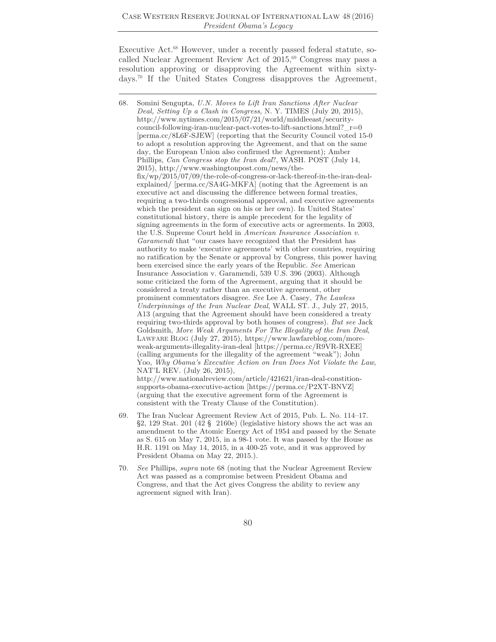Executive Act.<sup>68</sup> However, under a recently passed federal statute, socalled Nuclear Agreement Review Act of 2015,<sup>69</sup> Congress may pass a resolution approving or disapproving the Agreement within sixtydays.70 If the United States Congress disapproves the Agreement,

- 69. The Iran Nuclear Agreement Review Act of 2015, Pub. L. No. 114–17. §2, 129 Stat. 201 (42 § 2160e) (legislative history shows the act was an amendment to the Atomic Energy Act of 1954 and passed by the Senate as S. 615 on May 7, 2015, in a 98-1 vote. It was passed by the House as H.R. 1191 on May 14, 2015, in a 400-25 vote, and it was approved by President Obama on May 22, 2015.).
- 70*. See* Phillips, *supra* note 68 (noting that the Nuclear Agreement Review Act was passed as a compromise between President Obama and Congress, and that the Act gives Congress the ability to review any agreement signed with Iran).

<sup>68.</sup> Somini Sengupta, *U.N. Moves to Lift Iran Sanctions After Nuclear Deal, Setting Up a Clash in Congress*, N. Y. TIMES (July 20, 2015), http://www.nytimes.com/2015/07/21/world/middleeast/securitycouncil-following-iran-nuclear-pact-votes-to-lift-sanctions.html? $r=0$ [perma.cc/8L6F-SJEW] (reporting that the Security Council voted 15-0 to adopt a resolution approving the Agreement, and that on the same day, the European Union also confirmed the Agreement); Amber Phillips, *Can Congress stop the Iran deal*?, WASH. POST (July 14, 2015), http://www.washingtonpost.com/news/thefix/wp/2015/07/09/the-role-of-congress-or-lack-thereof-in-the-iran-dealexplained/ [perma.cc/SA4G-MKFA] (noting that the Agreement is an executive act and discussing the difference between formal treaties, requiring a two-thirds congressional approval, and executive agreements which the president can sign on his or her own). In United States' constitutional history, there is ample precedent for the legality of signing agreements in the form of executive acts or agreements. In 2003, the U.S. Supreme Court held in *American Insurance Association v. Garamendi* that "our cases have recognized that the President has authority to make 'executive agreements' with other countries, requiring no ratification by the Senate or approval by Congress, this power having been exercised since the early years of the Republic. *See* American Insurance Association v. Garamendi, 539 U.S. 396 (2003). Although some criticized the form of the Agreement, arguing that it should be considered a treaty rather than an executive agreement, other prominent commentators disagree. *See* Lee A. Casey, *The Lawless Underpinnings of the Iran Nuclear Deal*, WALL ST. J., July 27, 2015, A13 (arguing that the Agreement should have been considered a treaty requiring two-thirds approval by both houses of congress). *But see* Jack Goldsmith, *More Weak Arguments For The Illegality of the Iran Deal*, LAWFARE BLOG (July 27, 2015), https://www.lawfareblog.com/moreweak-arguments-illegality-iran-deal [https://perma.cc/R9VR-RXEE] (calling arguments for the illegality of the agreement "weak"); John Yoo, *Why Obama's Executive Action on Iran Does Not Violate the Law*, NAT'L REV. (July 26, 2015), http://www.nationalreview.com/article/421621/iran-deal-constitionsupports-obama-executive-action [https://perma.cc/P2XT-BNVZ] (arguing that the executive agreement form of the Agreement is consistent with the Treaty Clause of the Constitution).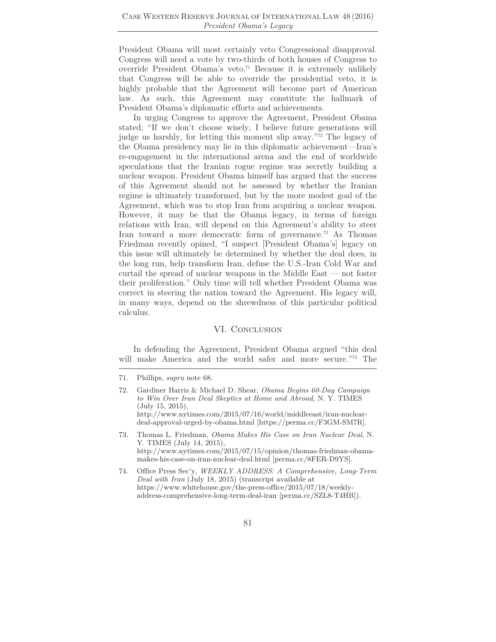President Obama will most certainly veto Congressional disapproval. Congress will need a vote by two-thirds of both houses of Congress to override President Obama's veto.71 Because it is extremely unlikely that Congress will be able to override the presidential veto, it is highly probable that the Agreement will become part of American law. As such, this Agreement may constitute the hallmark of President Obama's diplomatic efforts and achievements.

In urging Congress to approve the Agreement, President Obama stated; "If we don't choose wisely, I believe future generations will judge us harshly, for letting this moment slip away."72 The legacy of the Obama presidency may lie in this diplomatic achievement—Iran's re-engagement in the international arena and the end of worldwide speculations that the Iranian rogue regime was secretly building a nuclear weapon. President Obama himself has argued that the success of this Agreement should not be assessed by whether the Iranian regime is ultimately transformed, but by the more modest goal of the Agreement, which was to stop Iran from acquiring a nuclear weapon. However, it may be that the Obama legacy, in terms of foreign relations with Iran, will depend on this Agreement's ability to steer Iran toward a more democratic form of governance.<sup>73</sup> As Thomas Friedman recently opined, "I suspect [President Obama's] legacy on this issue will ultimately be determined by whether the deal does, in the long run, help transform Iran, defuse the U.S.-Iran Cold War and curtail the spread of nuclear weapons in the Middle East — not foster their proliferation." Only time will tell whether President Obama was correct in steering the nation toward the Agreement. His legacy will, in many ways, depend on the shrewdness of this particular political calculus.

#### VI. CONCLUSION

In defending the Agreement, President Obama argued "this deal will make America and the world safer and more secure."74 The

<sup>71</sup>*.* Phillips, *supra* note 68.

<sup>72.</sup> Gardiner Harris & Michael D. Shear, *Obama Begins 60-Day Campaign to Win Over Iran Deal Skeptics at Home and Abroad*, N. Y. TIMES (July 15, 2015), http://www.nytimes.com/2015/07/16/world/middleeast/iran-nucleardeal-approval-urged-by-obama.html [https://perma.cc/F3GM-SM7R].

<sup>73.</sup> Thomas L. Friedman, *Obama Makes His Case on Iran Nuclear Deal*, N. Y. TIMES (July 14, 2015), http://www.nytimes.com/2015/07/15/opinion/thomas-friedman-obamamakes-his-case-on-iran-nuclear-deal.html [perma.cc/8FER-D9YS].

<sup>74.</sup> Office Press Sec'y, *WEEKLY ADDRESS: A Comprehensive, Long-Term Deal with Iran* (July 18, 2015) (transcript available at https://www.whitehouse.gov/the-press-office/2015/07/18/weeklyaddress-comprehensive-long-term-deal-iran [perma.cc/SZL8-T4HB]).